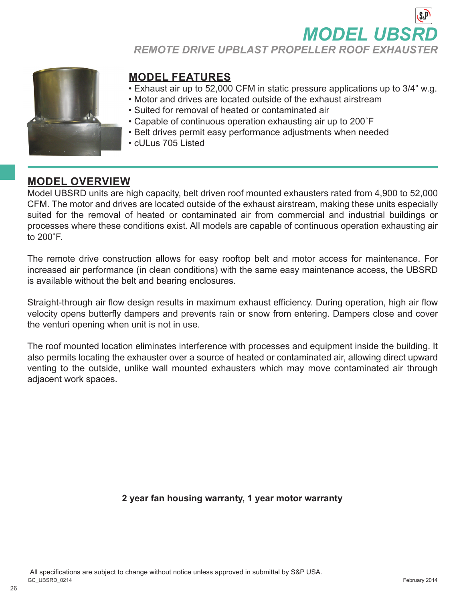**MODEL UBS** 

*REMOTE DRIVE UPBLAST PROPELLER ROOF EXHAUSTER*



# **MODEL FEATURES**

- Exhaust air up to 52,000 CFM in static pressure applications up to 3/4" w.g.
- Motor and drives are located outside of the exhaust airstream
- Suited for removal of heated or contaminated air
- Capable of continuous operation exhausting air up to 200˚F
- Belt drives permit easy performance adjustments when needed
- cULus 705 Listed

# **MODEL OVERVIEW**

Model UBSRD units are high capacity, belt driven roof mounted exhausters rated from 4,900 to 52,000 CFM. The motor and drives are located outside of the exhaust airstream, making these units especially suited for the removal of heated or contaminated air from commercial and industrial buildings or processes where these conditions exist. All models are capable of continuous operation exhausting air to 200˚F.

The remote drive construction allows for easy rooftop belt and motor access for maintenance. For increased air performance (in clean conditions) with the same easy maintenance access, the UBSRD is available without the belt and bearing enclosures.

Straight-through air flow design results in maximum exhaust efficiency. During operation, high air flow velocity opens butterfly dampers and prevents rain or snow from entering. Dampers close and cover the venturi opening when unit is not in use.

The roof mounted location eliminates interference with processes and equipment inside the building. It also permits locating the exhauster over a source of heated or contaminated air, allowing direct upward venting to the outside, unlike wall mounted exhausters which may move contaminated air through adjacent work spaces.

### **2 year fan housing warranty, 1 year motor warranty**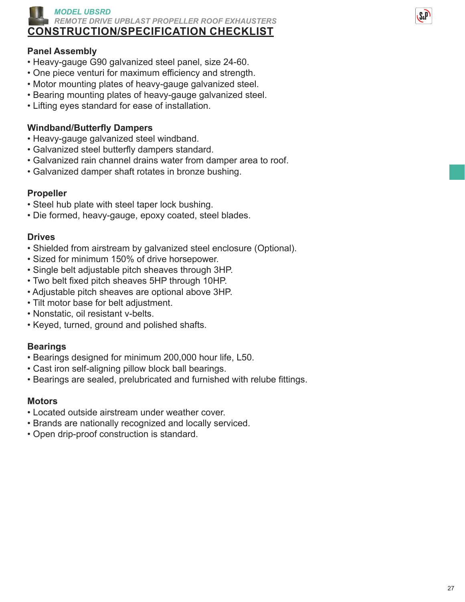

# **CONSTRUCTION/SPECIFICATION CHECKLIST**

### **Panel Assembly**

- Heavy-gauge G90 galvanized steel panel, size 24-60.
- One piece venturi for maximum efficiency and strength.
- Motor mounting plates of heavy-gauge galvanized steel.
- Bearing mounting plates of heavy-gauge galvanized steel.
- Lifting eyes standard for ease of installation.

# **Windband/Butterfly Dampers**

- Heavy-gauge galvanized steel windband.
- Galvanized steel butterfly dampers standard.
- Galvanized rain channel drains water from damper area to roof.
- Galvanized damper shaft rotates in bronze bushing.

# **Propeller**

- Steel hub plate with steel taper lock bushing.
- Die formed, heavy-gauge, epoxy coated, steel blades.

# **Drives**

- Shielded from airstream by galvanized steel enclosure (Optional).
- Sized for minimum 150% of drive horsepower.
- Single belt adjustable pitch sheaves through 3HP.
- Two belt fixed pitch sheaves 5HP through 10HP.
- Adjustable pitch sheaves are optional above 3HP.
- Tilt motor base for belt adjustment.
- Nonstatic, oil resistant v-belts.
- Keyed, turned, ground and polished shafts.

# **Bearings**

- Bearings designed for minimum 200,000 hour life, L50.
- Cast iron self-aligning pillow block ball bearings.
- Bearings are sealed, prelubricated and furnished with relube fittings.

### **Motors**

- Located outside airstream under weather cover.
- Brands are nationally recognized and locally serviced.
- Open drip-proof construction is standard.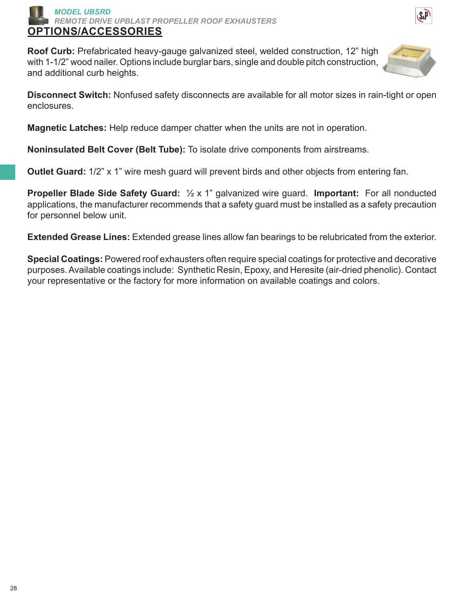

**Roof Curb:** Prefabricated heavy-gauge galvanized steel, welded construction, 12" high with 1-1/2" wood nailer. Options include burglar bars, single and double pitch construction, and additional curb heights.



**Disconnect Switch:** Nonfused safety disconnects are available for all motor sizes in rain-tight or open enclosures.

**Magnetic Latches:** Help reduce damper chatter when the units are not in operation.

**Noninsulated Belt Cover (Belt Tube):** To isolate drive components from airstreams.

**Outlet Guard:** 1/2" x 1" wire mesh guard will prevent birds and other objects from entering fan.

**Propeller Blade Side Safety Guard:** ½ x 1" galvanized wire guard. **Important:** For all nonducted applications, the manufacturer recommends that a safety guard must be installed as a safety precaution for personnel below unit.

**Extended Grease Lines:** Extended grease lines allow fan bearings to be relubricated from the exterior.

**Special Coatings:** Powered roof exhausters often require special coatings for protective and decorative purposes. Available coatings include: Synthetic Resin, Epoxy, and Heresite (air-dried phenolic). Contact your representative or the factory for more information on available coatings and colors.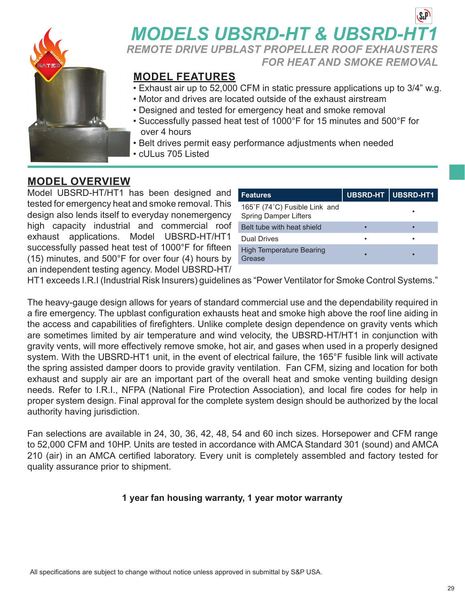

# **MODELS UBSRD-HT & UBSRD-HT** *REMOTE DRIVE UPBLAST PROPELLER ROOF EXHAUSTERS*

*FOR HEAT AND SMOKE REMOVAL*

# **MODEL FEATURES**

- Exhaust air up to 52,000 CFM in static pressure applications up to 3/4" w.g.
- Motor and drives are located outside of the exhaust airstream
- Designed and tested for emergency heat and smoke removal
- Successfully passed heat test of 1000°F for 15 minutes and 500°F for over 4 hours
- Belt drives permit easy performance adjustments when needed
- cULus 705 Listed

# **MODEL OVERVIEW**

Model UBSRD-HT/HT1 has been designed and tested for emergency heat and smoke removal. This design also lends itself to everyday nonemergency high capacity industrial and commercial roof exhaust applications. Model UBSRD-HT/HT1 successfully passed heat test of 1000°F for fifteen (15) minutes, and 500°F for over four (4) hours by an independent testing agency. Model UBSRD-HT/

| <b>Features</b>                                               | UBSRD-HT   UBSRD-HT1 |
|---------------------------------------------------------------|----------------------|
| 165°F (74°C) Fusible Link and<br><b>Spring Damper Lifters</b> |                      |
| Belt tube with heat shield                                    |                      |
| Dual Drives                                                   |                      |
| <b>High Temperature Bearing</b><br>Grease                     |                      |

HT1 exceeds I.R.I (Industrial Risk Insurers) guidelines as "Power Ventilator for Smoke Control Systems."

The heavy-gauge design allows for years of standard commercial use and the dependability required in a fire emergency. The upblast configuration exhausts heat and smoke high above the roof line aiding in the access and capabilities of firefighters. Unlike complete design dependence on gravity vents which are sometimes limited by air temperature and wind velocity, the UBSRD-HT/HT1 in conjunction with gravity vents, will more effectively remove smoke, hot air, and gases when used in a properly designed system. With the UBSRD-HT1 unit, in the event of electrical failure, the 165°F fusible link will activate the spring assisted damper doors to provide gravity ventilation. Fan CFM, sizing and location for both exhaust and supply air are an important part of the overall heat and smoke venting building design needs. Refer to I.R.I., NFPA (National Fire Protection Association), and local fire codes for help in proper system design. Final approval for the complete system design should be authorized by the local authority having jurisdiction.

Fan selections are available in 24, 30, 36, 42, 48, 54 and 60 inch sizes. Horsepower and CFM range to 52,000 CFM and 10HP. Units are tested in accordance with AMCA Standard 301 (sound) and AMCA 210 (air) in an AMCA certified laboratory. Every unit is completely assembled and factory tested for quality assurance prior to shipment.

### **1 year fan housing warranty, 1 year motor warranty**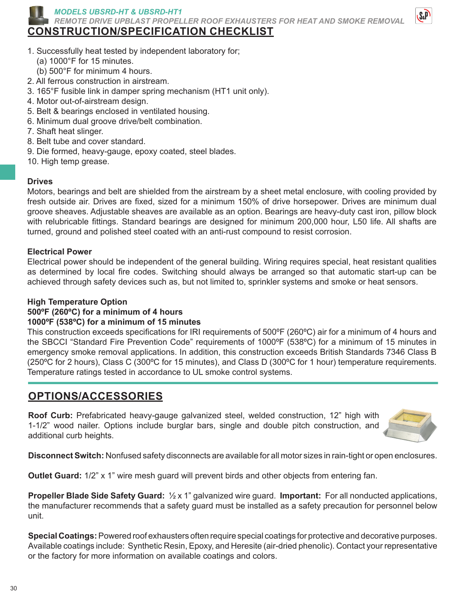

*MODELS UBSRD-HT & UBSRD-HT1*

*REMOTE DRIVE UPBLAST PROPELLER ROOF EXHAUSTERS FOR HEAT AND SMOKE REMOVAL*

# **CONSTRUCTION/SPECIFICATION CHECKLIST**



- 1. Successfully heat tested by independent laboratory for;
	- (a) 1000°F for 15 minutes.
- (b) 500°F for minimum 4 hours.
- 2. All ferrous construction in airstream.
- 3. 165°F fusible link in damper spring mechanism (HT1 unit only).
- 4. Motor out-of-airstream design.
- 5. Belt & bearings enclosed in ventilated housing.
- 6. Minimum dual groove drive/belt combination.
- 7. Shaft heat slinger.
- 8. Belt tube and cover standard.
- 9. Die formed, heavy-gauge, epoxy coated, steel blades.
- 10. High temp grease.

#### **Drives**

Motors, bearings and belt are shielded from the airstream by a sheet metal enclosure, with cooling provided by fresh outside air. Drives are fixed, sized for a minimum 150% of drive horsepower. Drives are minimum dual groove sheaves. Adjustable sheaves are available as an option. Bearings are heavy-duty cast iron, pillow block with relubricable fittings. Standard bearings are designed for minimum 200,000 hour, L50 life. All shafts are turned, ground and polished steel coated with an anti-rust compound to resist corrosion.

#### **Electrical Power**

Electrical power should be independent of the general building. Wiring requires special, heat resistant qualities as determined by local fire codes. Switching should always be arranged so that automatic start-up can be achieved through safety devices such as, but not limited to, sprinkler systems and smoke or heat sensors.

#### **High Temperature Option**

#### **500ºF (260ºC) for a minimum of 4 hours**

#### **1000ºF (538ºC) for a minimum of 15 minutes**

This construction exceeds specifications for IRI requirements of 500°F (260°C) air for a minimum of 4 hours and the SBCCI "Standard Fire Prevention Code" requirements of 1000ºF (538ºC) for a minimum of 15 minutes in emergency smoke removal applications. In addition, this construction exceeds British Standards 7346 Class B (250ºC for 2 hours), Class C (300ºC for 15 minutes), and Class D (300ºC for 1 hour) temperature requirements. Temperature ratings tested in accordance to UL smoke control systems.

# **OPTIONS/ACCESSORIES**

**Roof Curb:** Prefabricated heavy-gauge galvanized steel, welded construction, 12" high with 1-1/2" wood nailer. Options include burglar bars, single and double pitch construction, and additional curb heights.



**Disconnect Switch:** Nonfused safety disconnects are available for all motor sizes in rain-tight or open enclosures.

**Outlet Guard:** 1/2" x 1" wire mesh guard will prevent birds and other objects from entering fan.

**Propeller Blade Side Safety Guard:** ½ x 1" galvanized wire guard. **Important:** For all nonducted applications, the manufacturer recommends that a safety guard must be installed as a safety precaution for personnel below unit.

**Special Coatings:** Powered roof exhausters often require special coatings for protective and decorative purposes. Available coatings include: Synthetic Resin, Epoxy, and Heresite (air-dried phenolic). Contact your representative or the factory for more information on available coatings and colors.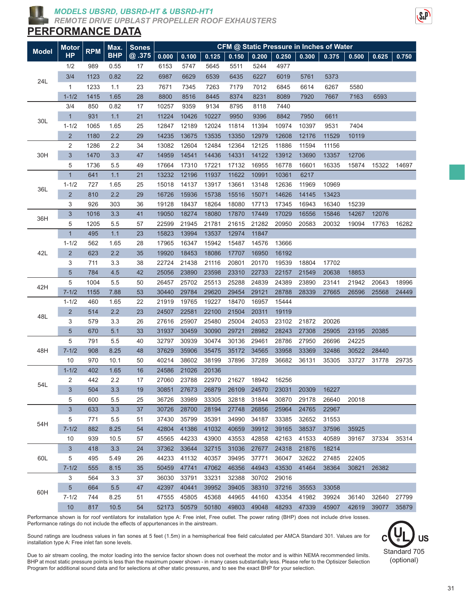

#### *MODELS UBSRD, UBSRD-HT & UBSRD-HT1*

*REMOTE DRIVE UPBLAST PROPELLER ROOF EXHAUSTERS*

### **PERFORMANCE DATA**

|              | <b>Motor</b><br><b>HP</b> | <b>RPM</b> | Max.<br><b>BHP</b> | <b>Sones</b><br>@.375 | CFM @ Static Pressure in Inches of Water |       |       |             |       |       |       |       |       |       |       |
|--------------|---------------------------|------------|--------------------|-----------------------|------------------------------------------|-------|-------|-------------|-------|-------|-------|-------|-------|-------|-------|
| <b>Model</b> |                           |            |                    |                       | 0.000                                    | 0.100 | 0.125 | 0.150       | 0.200 | 0.250 | 0.300 | 0.375 | 0.500 | 0.625 | 0.750 |
| 24L          | 1/2                       | 989        | 0.55               | 17                    | 6153                                     | 5747  | 5645  | 5511        | 5244  | 4977  |       |       |       |       |       |
|              | 3/4                       | 1123       | 0.82               | 22                    | 6987                                     | 6629  | 6539  | 6435        | 6227  | 6019  | 5761  | 5373  |       |       |       |
|              | 1                         | 1233       | 1.1                | 23                    | 7671                                     | 7345  | 7263  | 7179        | 7012  | 6845  | 6614  | 6267  | 5580  |       |       |
|              | $1 - 1/2$                 | 1415       | 1.65               | 28                    | 8800                                     | 8516  | 8445  | 8374        | 8231  | 8089  | 7920  | 7667  | 7163  | 6593  |       |
|              | 3/4                       | 850        | 0.82               | 17                    | 10257                                    | 9359  | 9134  | 8795        | 8118  | 7440  |       |       |       |       |       |
|              | $\mathbf{1}$              | 931        | 1.1                | 21                    | 11224                                    | 10426 | 10227 | 9950        | 9396  | 8842  | 7950  | 6611  |       |       |       |
| 30L          | $1 - 1/2$                 | 1065       | 1.65               | 25                    | 12847                                    | 12189 | 12024 | 11814       | 11394 | 10974 | 10397 | 9531  | 7404  |       |       |
|              | $\overline{2}$            | 1180       | 2.2                | 29                    | 14235                                    | 13675 | 13535 | 13350       | 12979 | 12608 | 12176 | 11529 | 10119 |       |       |
|              | 2                         | 1286       | 2.2                | 34                    | 13082                                    | 12604 | 12484 | 12364       | 12125 | 11886 | 11594 | 11156 |       |       |       |
| 30H          | $\sqrt{3}$                | 1470       | 3.3                | 47                    | 14959                                    | 14541 | 14436 | 14331       | 14122 | 13912 | 13690 | 13357 | 12706 |       |       |
|              | 5                         | 1736       | 5.5                | 49                    | 17664                                    | 17310 | 17221 | 17132       | 16955 | 16778 | 16601 | 16335 | 15874 | 15322 | 14697 |
|              | $\overline{1}$            | 641        | 1.1                | 21                    | 13232                                    | 12196 | 11937 | 11622       | 10991 | 10361 | 6217  |       |       |       |       |
|              | $1 - 1/2$                 | 727        | 1.65               | 25                    | 15018                                    | 14137 | 13917 | 13661       | 13148 | 12636 | 11969 | 10969 |       |       |       |
| 36L          | $\overline{c}$            | 810        | 2.2                | 29                    | 16726                                    | 15936 | 15738 | 15516       | 15071 | 14626 | 14145 | 13423 |       |       |       |
|              | 3                         | 926        | 303                | 36                    | 19128                                    | 18437 | 18264 | 18080       | 17713 | 17345 | 16943 | 16340 | 15239 |       |       |
|              | $\mathbf{3}$              | 1016       | 3.3                | 41                    | 19050                                    | 18274 | 18080 | 17870       | 17449 | 17029 | 16556 | 15846 | 14267 | 12076 |       |
| 36H          | 5                         | 1205       | 5.5                | 57                    | 22599                                    | 21945 | 21781 | 21615       | 21282 | 20950 | 20583 | 20032 | 19094 | 17763 | 16282 |
|              | 1                         | 495        | 1.1                | 23                    | 15823                                    | 13994 | 13537 | 12974       | 11847 |       |       |       |       |       |       |
|              | $1 - 1/2$                 | 562        | 1.65               | 28                    | 17965                                    | 16347 | 15942 | 15487       | 14576 | 13666 |       |       |       |       |       |
| 42L          | $\overline{\mathbf{c}}$   | 623        | 2.2                | 35                    | 19920                                    | 18453 | 18086 | 17707       | 16950 | 16192 |       |       |       |       |       |
|              | 3                         | 711        | 3.3                | 38                    | 22724                                    | 21438 | 21116 | 20801       | 20170 | 19539 | 18804 | 17702 |       |       |       |
|              | 5                         | 784        | 4.5                | 42                    | 25056                                    | 23890 | 23598 | 23310       | 22733 | 22157 | 21549 | 20638 | 18853 |       |       |
|              | 5                         | 1004       | 5.5                | 50                    | 26457                                    | 25702 | 25513 | 25288       | 24839 | 24389 | 23890 | 23141 | 21942 | 20643 | 18996 |
| 42H          | $7 - 1/2$                 | 1155       | 7.88               | 53                    | 30440                                    | 29784 | 29620 | 29454       | 29121 | 28788 | 28339 | 27665 | 26596 | 25568 | 24449 |
|              | $1 - 1/2$                 | 460        | 1.65               | 22                    | 21919                                    | 19765 | 19227 | 18470       | 16957 | 15444 |       |       |       |       |       |
|              | $\overline{2}$            | 514        | 2.2                | 23                    | 24507                                    | 22581 | 22100 | 21504       | 20311 | 19119 |       |       |       |       |       |
| 48L          | 3                         | 579        | 3.3                | 26                    | 27616                                    | 25907 | 25480 | 25004       | 24053 | 23102 | 21872 | 20026 |       |       |       |
|              | 5                         | 670        | 5.1                | 33                    | 31937                                    | 30459 | 30090 | 29721       | 28982 | 28243 | 27308 | 25905 | 23195 | 20385 |       |
|              | 5                         | 791        | 5.5                | 40                    | 32797                                    | 30939 | 30474 | 30136       | 29461 | 28786 | 27950 | 26696 | 24225 |       |       |
| 48H          | $7 - 1/2$                 | 908        | 8.25               | 48                    | 37629                                    | 35906 | 35475 | 35172       | 34565 | 33958 | 33369 | 32486 | 30522 | 28440 |       |
|              | 10                        | 970        | 10.1               | 50                    | 40214                                    | 38602 | 38199 | 37896       | 37289 | 36682 | 36131 | 35305 | 33727 | 31778 | 29735 |
|              | $1 - 1/2$                 | 402        | 1.65               | 16                    | 24586                                    | 21026 | 20136 |             |       |       |       |       |       |       |       |
|              | 2                         | 442        | 2.2                | 17                    | 27060                                    | 23788 | 22970 | 21627 18942 |       | 16256 |       |       |       |       |       |
| 54L          | $\mathfrak{S}$            | 504        | 3.3                | 19                    | 30851                                    | 27673 | 26879 | 26109       | 24570 | 23031 | 20309 | 16227 |       |       |       |
|              | 5                         | 600        | 5.5                | 25                    | 36726                                    | 33989 | 33305 | 32818       | 31844 | 30870 | 29178 | 26640 | 20018 |       |       |
|              | 3                         | 633        | 3.3                | 37                    | 30726                                    | 28700 | 28194 | 27748       | 26856 | 25964 | 24765 | 22967 |       |       |       |
|              | 5                         | 771        | 5.5                | 51                    | 37430                                    | 35799 | 35391 | 34990       | 34187 | 33385 | 32652 | 31553 |       |       |       |
| 54H          | $7 - 1/2$                 | 882        | 8.25               | 54                    | 42804                                    | 41386 | 41032 | 40659       | 39912 | 39165 | 38537 | 37596 | 35925 |       |       |
|              | 10                        | 939        | 10.5               | 57                    | 45565                                    | 44233 | 43900 | 43553       | 42858 | 42163 | 41533 | 40589 | 39167 | 37334 | 35314 |
| 60L          | 3                         | 418        | 3.3                | 24                    | 37362                                    | 33644 | 32715 | 31036       | 27677 | 24318 | 21876 | 18214 |       |       |       |
|              | 5                         | 495        | 5.49               | 26                    | 44233                                    | 41132 | 40357 | 39495       | 37771 | 36047 | 32622 | 27485 | 22405 |       |       |
|              | $7 - 1/2$                 | 555        | 8.15               | 35                    | 50459                                    | 47741 | 47062 | 46356       | 44943 | 43530 | 41464 | 38364 | 30821 | 26382 |       |
|              | 3                         | 564        | 3.3                | 37                    | 36030                                    | 33791 | 33231 | 32388       | 30702 | 29016 |       |       |       |       |       |
|              | $\overline{5}$            | 664        | $5.5\,$            | 47                    | 42397                                    | 40441 | 39952 | 39405       | 38310 | 37216 | 35553 | 33058 |       |       |       |
| 60H          | $7 - 1/2$                 | 744        | 8.25               | 51                    | 47555                                    | 45805 | 45368 | 44965       | 44160 | 43354 | 41982 | 39924 | 36140 | 32640 | 27799 |
|              | $10$                      | 817        | 10.5               | 54                    | 52173                                    | 50579 | 50180 | 49803       | 49048 | 48293 | 47339 | 45907 | 42619 | 39077 | 35879 |

Performance shown is for roof ventilators for installation type A: Free inlet, Free outlet. The power rating (BHP) does not include drive losses. Performance ratings do not include the effects of appurtenances in the airstream.

Sound ratings are loudness values in fan sones at 5 feet (1.5m) in a hemispherical free field calculated per AMCA Standard 301. Values are for installation type A: Free inlet fan sone levels.



Due to air stream cooling, the motor loading into the service factor shown does not overheat the motor and is within NEMA recommended limits. BHP at most static pressure points is less than the maximum power shown - in many cases substantially less. Please refer to the Optisizer Selection Program for additional sound data and for selections at other static pressures, and to see the exact BHP for your selection.